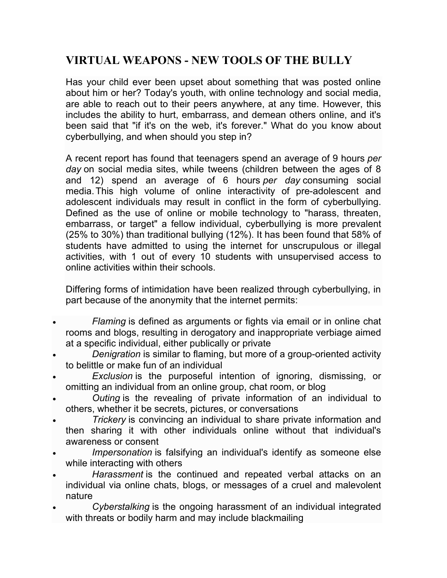## **VIRTUAL WEAPONS - NEW TOOLS OF THE BULLY**

Has your child ever been upset about something that was posted online about him or her? Today's youth, with online technology and social media, are able to reach out to their peers anywhere, at any time. However, this includes the ability to hurt, embarrass, and demean others online, and it's been said that "if it's on the web, it's forever." What do you know about cyberbullying, and when should you step in?

A recent report has found that teenagers spend an average of 9 hours *per day* on social media sites, while tweens (children between the ages of 8 and 12) spend an average of 6 hours *per day* consuming social media.This high volume of online interactivity of pre-adolescent and adolescent individuals may result in conflict in the form of cyberbullying. Defined as the use of online or mobile technology to "harass, threaten, embarrass, or target" a fellow individual, cyberbullying is more prevalent (25% to 30%) than traditional bullying (12%). It has been found that 58% of students have admitted to using the internet for unscrupulous or illegal activities, with 1 out of every 10 students with unsupervised access to online activities within their schools.

Differing forms of intimidation have been realized through cyberbullying, in part because of the anonymity that the internet permits:

- *Flaming* is defined as arguments or fights via email or in online chat rooms and blogs, resulting in derogatory and inappropriate verbiage aimed at a specific individual, either publically or private
- *Denigration* is similar to flaming, but more of a group-oriented activity to belittle or make fun of an individual
- *Exclusion* is the purposeful intention of ignoring, dismissing, or omitting an individual from an online group, chat room, or blog
- *Outing* is the revealing of private information of an individual to others, whether it be secrets, pictures, or conversations
- *Trickery* is convincing an individual to share private information and then sharing it with other individuals online without that individual's awareness or consent
- *Impersonation* is falsifying an individual's identify as someone else while interacting with others
- *Harassment* is the continued and repeated verbal attacks on an individual via online chats, blogs, or messages of a cruel and malevolent nature
- *Cyberstalking* is the ongoing harassment of an individual integrated with threats or bodily harm and may include blackmailing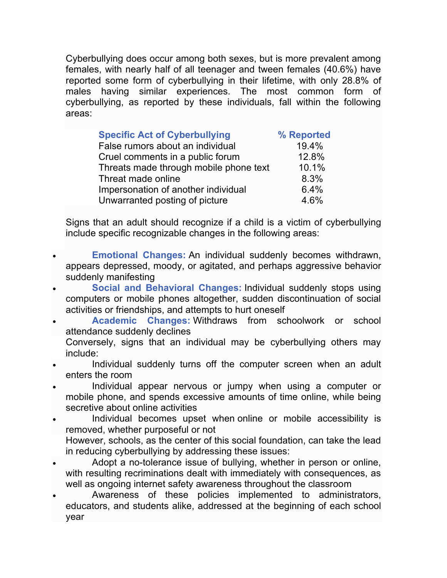Cyberbullying does occur among both sexes, but is more prevalent among females, with nearly half of all teenager and tween females (40.6%) have reported some form of cyberbullying in their lifetime, with only 28.8% of males having similar experiences. The most common form of cyberbullying, as reported by these individuals, fall within the following areas:

| <b>Specific Act of Cyberbullying</b>   | % Reported |
|----------------------------------------|------------|
| False rumors about an individual       | 19.4%      |
| Cruel comments in a public forum       | 12.8%      |
| Threats made through mobile phone text | 10.1%      |
| Threat made online                     | 8.3%       |
| Impersonation of another individual    | 6.4%       |
| Unwarranted posting of picture         | 4.6%       |

Signs that an adult should recognize if a child is a victim of cyberbullying include specific recognizable changes in the following areas:

- **Emotional Changes:** An individual suddenly becomes withdrawn, appears depressed, moody, or agitated, and perhaps aggressive behavior suddenly manifesting
- **Social and Behavioral Changes:** Individual suddenly stops using computers or mobile phones altogether, sudden discontinuation of social activities or friendships, and attempts to hurt oneself
- **Academic Changes:** Withdraws from schoolwork or school attendance suddenly declines
	- Conversely, signs that an individual may be cyberbullying others may include:
- Individual suddenly turns off the computer screen when an adult enters the room
- Individual appear nervous or jumpy when using a computer or mobile phone, and spends excessive amounts of time online, while being secretive about online activities
- Individual becomes upset when online or mobile accessibility is removed, whether purposeful or not However, schools, as the center of this social foundation, can take the lead in reducing cyberbullying by addressing these issues:
- Adopt a no-tolerance issue of bullying, whether in person or online, with resulting recriminations dealt with immediately with consequences, as well as ongoing internet safety awareness throughout the classroom
- Awareness of these policies implemented to administrators, educators, and students alike, addressed at the beginning of each school year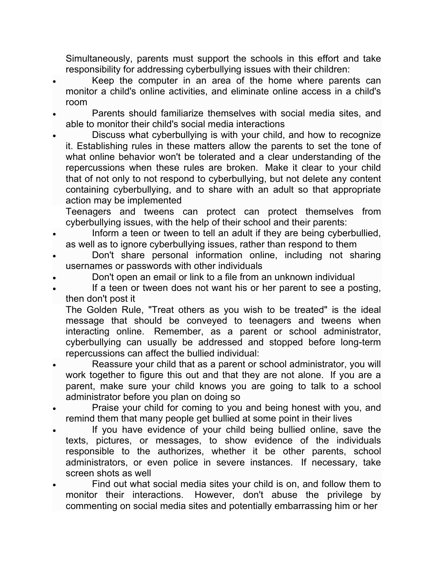Simultaneously, parents must support the schools in this effort and take responsibility for addressing cyberbullying issues with their children:

- Keep the computer in an area of the home where parents can monitor a child's online activities, and eliminate online access in a child's room
- Parents should familiarize themselves with social media sites, and able to monitor their child's social media interactions
- Discuss what cyberbullying is with your child, and how to recognize it. Establishing rules in these matters allow the parents to set the tone of what online behavior won't be tolerated and a clear understanding of the repercussions when these rules are broken. Make it clear to your child that of not only to not respond to cyberbullying, but not delete any content containing cyberbullying, and to share with an adult so that appropriate action may be implemented

Teenagers and tweens can protect can protect themselves from cyberbullying issues, with the help of their school and their parents:

- Inform a teen or tween to tell an adult if they are being cyberbullied, as well as to ignore cyberbullying issues, rather than respond to them
- Don't share personal information online, including not sharing usernames or passwords with other individuals
- Don't open an email or link to a file from an unknown individual
- If a teen or tween does not want his or her parent to see a posting, then don't post it

The Golden Rule, "Treat others as you wish to be treated" is the ideal message that should be conveyed to teenagers and tweens when interacting online. Remember, as a parent or school administrator, cyberbullying can usually be addressed and stopped before long-term repercussions can affect the bullied individual:

- Reassure your child that as a parent or school administrator, you will work together to figure this out and that they are not alone. If you are a parent, make sure your child knows you are going to talk to a school administrator before you plan on doing so
- Praise your child for coming to you and being honest with you, and remind them that many people get bullied at some point in their lives
- If you have evidence of your child being bullied online, save the texts, pictures, or messages, to show evidence of the individuals responsible to the authorizes, whether it be other parents, school administrators, or even police in severe instances. If necessary, take screen shots as well
- Find out what social media sites your child is on, and follow them to monitor their interactions. However, don't abuse the privilege by commenting on social media sites and potentially embarrassing him or her